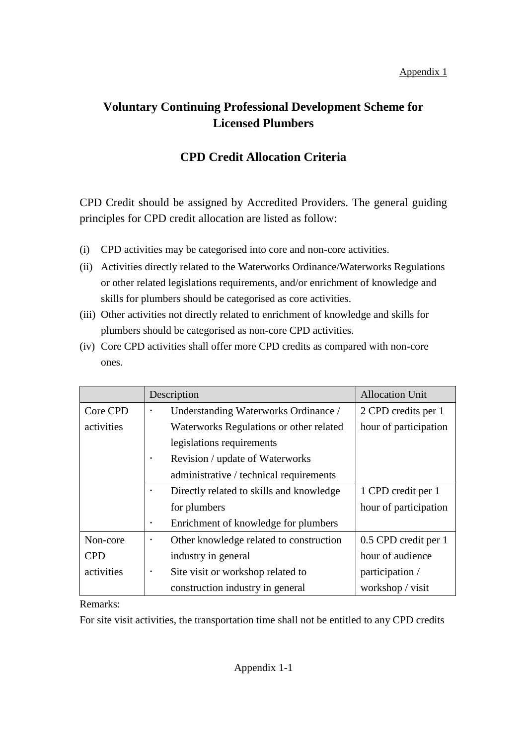## Appendix 1

## **Voluntary Continuing Professional Development Scheme for Licensed Plumbers**

## **CPD Credit Allocation Criteria**

CPD Credit should be assigned by Accredited Providers. The general guiding principles for CPD credit allocation are listed as follow:

- (i) CPD activities may be categorised into core and non-core activities.
- (ii) Activities directly related to the Waterworks Ordinance/Waterworks Regulations or other related legislations requirements, and/or enrichment of knowledge and skills for plumbers should be categorised as core activities.
- (iii) Other activities not directly related to enrichment of knowledge and skills for plumbers should be categorised as non-core CPD activities.
- (iv) Core CPD activities shall offer more CPD credits as compared with non-core ones.

|            | Description                                       | <b>Allocation Unit</b> |
|------------|---------------------------------------------------|------------------------|
| Core CPD   | Understanding Waterworks Ordinance /<br>$\bullet$ | 2 CPD credits per 1    |
| activities | Waterworks Regulations or other related           | hour of participation  |
|            | legislations requirements                         |                        |
|            | Revision / update of Waterworks                   |                        |
|            | administrative / technical requirements           |                        |
|            | Directly related to skills and knowledge          | 1 CPD credit per 1     |
|            | for plumbers                                      | hour of participation  |
|            | Enrichment of knowledge for plumbers              |                        |
| Non-core   | Other knowledge related to construction           | 0.5 CPD credit per 1   |
| <b>CPD</b> | industry in general                               | hour of audience       |
| activities | Site visit or workshop related to<br>٠            | participation /        |
|            | construction industry in general                  | workshop / visit       |

Remarks:

For site visit activities, the transportation time shall not be entitled to any CPD credits